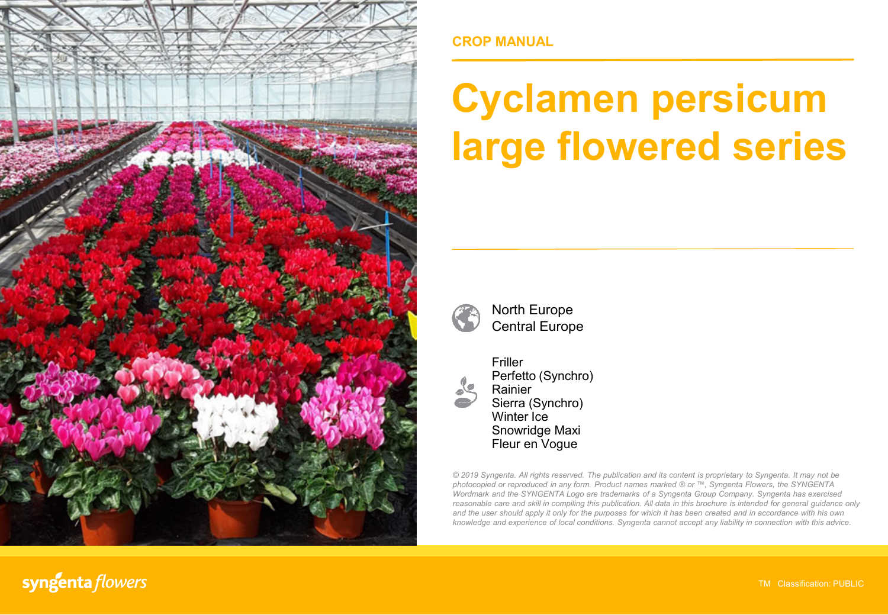

**CROP MANUAL**

# **Cyclamen persicum large flowered series**



North Europe Central Europe



Friller Perfetto (Synchro) Rainier Sierra (Synchro) Winter Ice Snowridge Maxi Fleur en Vogue

*© 2019 Syngenta. All rights reserved. The publication and its content is proprietary to Syngenta. It may not be photocopied or reproduced in any form. Product names marked ® or ™, Syngenta Flowers, the SYNGENTA Wordmark and the SYNGENTA Logo are trademarks of a Syngenta Group Company. Syngenta has exercised reasonable care and skill in compiling this publication. All data in this brochure is intended for general guidance only* and the user should apply it only for the purposes for which it has been created and in accordance with his own *knowledge and experience of local conditions. Syngenta cannot accept any liability in connection with this advice.*

syngenta flowers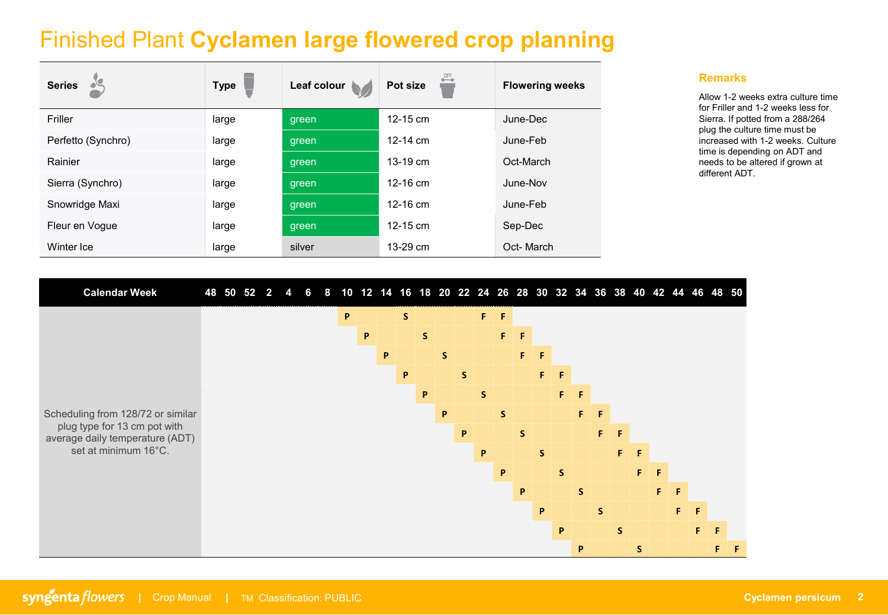## Finished Plant **Cyclamen large flowered crop planning**

| <b>Series</b>      | <b>Type</b> | Leaf colour | Pot size     | <b>Flowering weeks</b> |
|--------------------|-------------|-------------|--------------|------------------------|
| Friller            | large       | green       | $12 - 15$ cm | June-Dec               |
| Perfetto (Synchro) | large       | green       | 12-14 $cm$   | June-Feb               |
| Rainier            | large       | green       | $13 - 19$ cm | Oct-March              |
| Sierra (Synchro)   | large       | green       | $12 - 16$ cm | June-Nov               |
| Snowridge Maxi     | large       | green       | 12-16 $cm$   | June-Feb               |
| Fleur en Vogue     | large       | green       | $12 - 15$ cm | Sep-Dec                |
| Winter Ice         | large       | silver      | 13-29 cm     | Oct-March              |

#### **Remarks**

Allow 1-2 weeks extra culture time for Friller and 1-2 weeks less for Sierra. If potted from a 288/264 plug the culture time must be increased with 1-2 weeks. Culture time is depending on ADT and needs to be altered if grown at different ADT.

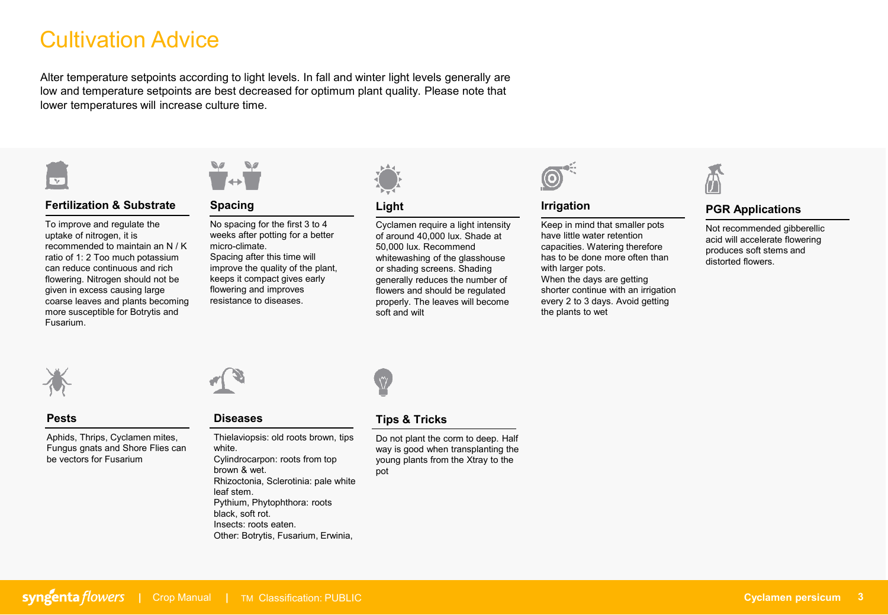## Cultivation Advice

Alter temperature setpoints according to light levels. In fall and winter light levels generally are low and temperature setpoints are best decreased for optimum plant quality. Please note that lower temperatures will increase culture time.



### **Fertilization & Substrate**

To improve and regulate the uptake of nitrogen, it is recommended to maintain an N / K ratio of 1: 2 Too much potassium can reduce continuous and rich flowering. Nitrogen should not be given in excess causing large coarse leaves and plants becoming more susceptible for Botrytis and Fusarium.



#### **Spacing**

No spacing for the first 3 to 4 weeks after potting for a better micro-climate.

Spacing after this time will improve the quality of the plant, keeps it compact gives early flowering and improves resistance to diseases.



### **Light**

Cyclamen require a light intensity of around 40,000 lux. Shade at 50,000 lux. Recommend whitewashing of the glasshouse or shading screens. Shading generally reduces the number of flowers and should be regulated properly. The leaves will become soft and wilt



#### **Irrigation**

Keep in mind that smaller pots have little water retention capacities. Watering therefore has to be done more often than with larger pots. When the days are getting shorter continue with an irrigation every 2 to 3 days. Avoid getting the plants to wet



### **PGR Applications**

Not recommended gibberellic acid will accelerate flowering produces soft stems and distorted flowers.



#### **Pests**

Aphids, Thrips, Cyclamen mites, Fungus gnats and Shore Flies can be vectors for Fusarium



#### **Diseases**

Thielaviopsis: old roots brown, tips white. Cylindrocarpon: roots from top brown & wet. Rhizoctonia, Sclerotinia: pale white leaf stem. Pythium, Phytophthora: roots black, soft rot. Insects: roots eaten. Other: Botrytis, Fusarium, Erwinia,



#### **Tips & Tricks**

Do not plant the corm to deep. Half way is good when transplanting the young plants from the Xtray to the pot